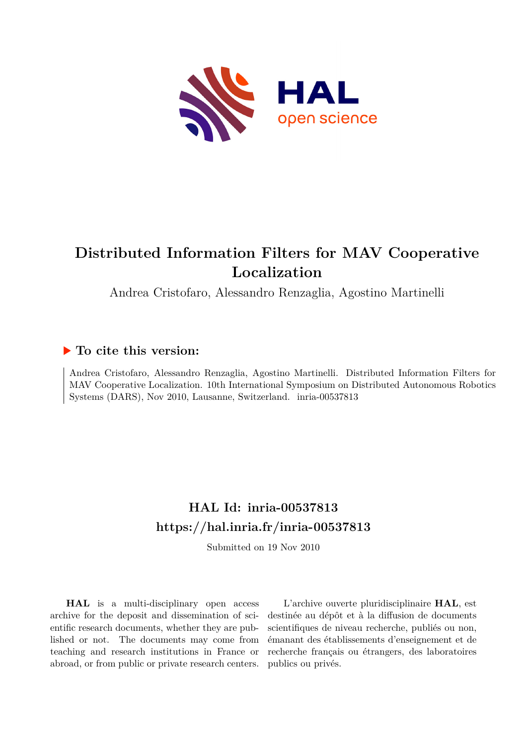

Andrea Cristofaro, Alessandro Renzaglia, Agostino Martinelli

# **To cite this version:**

Andrea Cristofaro, Alessandro Renzaglia, Agostino Martinelli. Distributed Information Filters for MAV Cooperative Localization. 10th International Symposium on Distributed Autonomous Robotics Systems (DARS), Nov 2010, Lausanne, Switzerland. inria-00537813

# **HAL Id: inria-00537813 <https://hal.inria.fr/inria-00537813>**

Submitted on 19 Nov 2010

**HAL** is a multi-disciplinary open access archive for the deposit and dissemination of scientific research documents, whether they are published or not. The documents may come from teaching and research institutions in France or abroad, or from public or private research centers.

L'archive ouverte pluridisciplinaire **HAL**, est destinée au dépôt et à la diffusion de documents scientifiques de niveau recherche, publiés ou non, émanant des établissements d'enseignement et de recherche français ou étrangers, des laboratoires publics ou privés.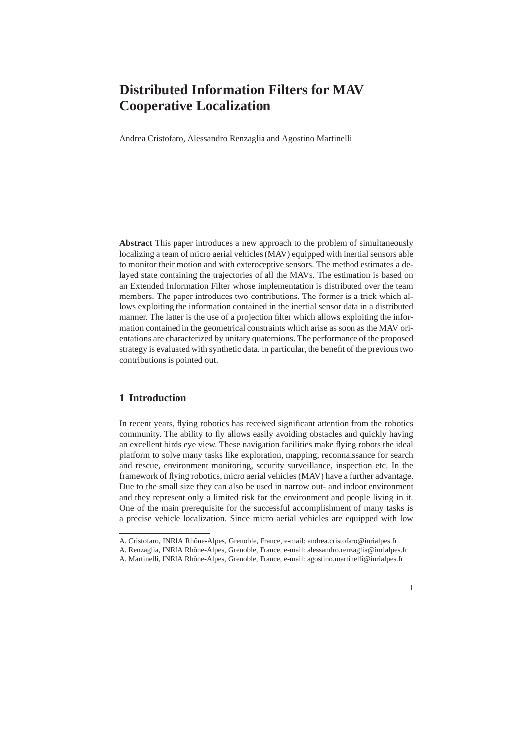Andrea Cristofaro, Alessandro Renzaglia and Agostino Martinelli

**Abstract** This paper introduces a new approach to the problem of simultaneously localizing a team of micro aerial vehicles (MAV) equipped with inertial sensors able to monitor their motion and with exteroceptive sensors. The method estimates a delayed state containing the trajectories of all the MAVs. The estimation is based on an Extended Information Filter whose implementation is distributed over the team members. The paper introduces two contributions. The former is a trick which allows exploiting the information contained in the inertial sensor data in a distributed manner. The latter is the use of a projection filter which allows exploiting the information contained in the geometrical constraints which arise as soon as the MAV orientations are characterized by unitary quaternions. The performance of the proposed strategy is evaluated with synthetic data. In particular, the benefit of the previous two contributions is pointed out.

# **1 Introduction**

In recent years, flying robotics has received significant attention from the robotics community. The ability to fly allows easily avoiding obstacles and quickly having an excellent birds eye view. These navigation facilities make flying robots the ideal platform to solve many tasks like exploration, mapping, reconnaissance for search and rescue, environment monitoring, security surveillance, inspection etc. In the framework of flying robotics, micro aerial vehicles (MAV) have a further advantage. Due to the small size they can also be used in narrow out- and indoor environment and they represent only a limited risk for the environment and people living in it. One of the main prerequisite for the successful accomplishment of many tasks is a precise vehicle localization. Since micro aerial vehicles are equipped with low

A. Cristofaro, INRIA Rhône-Alpes, Grenoble, France, e-mail: andrea.cristofaro@inrialpes.fr

A. Renzaglia, INRIA Rhône-Alpes, Grenoble, France, e-mail: alessandro.renzaglia@inrialpes.fr

A. Martinelli, INRIA Rhône-Alpes, Grenoble, France, e-mail: agostino.martinelli@inrialpes.fr

<sup>1</sup>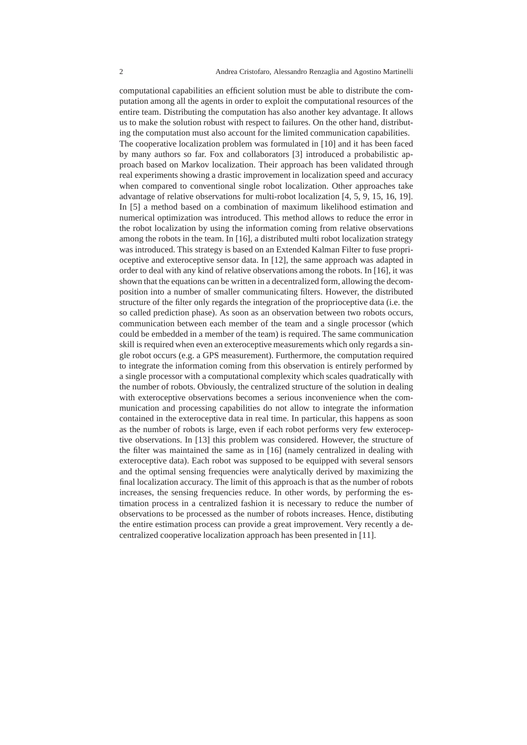computational capabilities an efficient solution must be able to distribute the computation among all the agents in order to exploit the computational resources of the entire team. Distributing the computation has also another key advantage. It allows us to make the solution robust with respect to failures. On the other hand, distributing the computation must also account for the limited communication capabilities. The cooperative localization problem was formulated in [10] and it has been faced by many authors so far. Fox and collaborators [3] introduced a probabilistic approach based on Markov localization. Their approach has been validated through real experiments showing a drastic improvement in localization speed and accuracy when compared to conventional single robot localization. Other approaches take advantage of relative observations for multi-robot localization [4, 5, 9, 15, 16, 19]. In [5] a method based on a combination of maximum likelihood estimation and numerical optimization was introduced. This method allows to reduce the error in the robot localization by using the information coming from relative observations among the robots in the team. In [16], a distributed multi robot localization strategy was introduced. This strategy is based on an Extended Kalman Filter to fuse proprioceptive and exteroceptive sensor data. In [12], the same approach was adapted in order to deal with any kind of relative observations among the robots. In [16], it was shown that the equations can be written in a decentralized form, allowing the decomposition into a number of smaller communicating filters. However, the distributed structure of the filter only regards the integration of the proprioceptive data (i.e. the so called prediction phase). As soon as an observation between two robots occurs, communication between each member of the team and a single processor (which could be embedded in a member of the team) is required. The same communication skill is required when even an exteroceptive measurements which only regards a single robot occurs (e.g. a GPS measurement). Furthermore, the computation required to integrate the information coming from this observation is entirely performed by a single processor with a computational complexity which scales quadratically with the number of robots. Obviously, the centralized structure of the solution in dealing with exteroceptive observations becomes a serious inconvenience when the communication and processing capabilities do not allow to integrate the information contained in the exteroceptive data in real time. In particular, this happens as soon as the number of robots is large, even if each robot performs very few exteroceptive observations. In [13] this problem was considered. However, the structure of the filter was maintained the same as in [16] (namely centralized in dealing with exteroceptive data). Each robot was supposed to be equipped with several sensors and the optimal sensing frequencies were analytically derived by maximizing the final localization accuracy. The limit of this approach is that as the number of robots increases, the sensing frequencies reduce. In other words, by performing the estimation process in a centralized fashion it is necessary to reduce the number of observations to be processed as the number of robots increases. Hence, distibuting the entire estimation process can provide a great improvement. Very recently a decentralized cooperative localization approach has been presented in [11].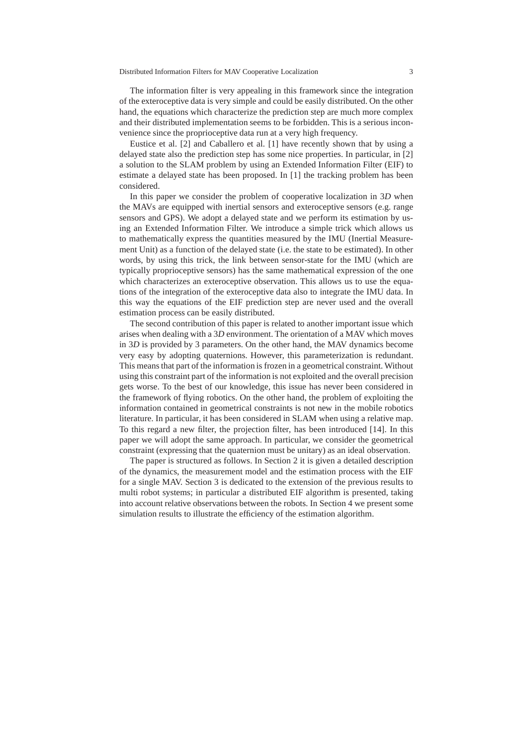The information filter is very appealing in this framework since the integration of the exteroceptive data is very simple and could be easily distributed. On the other hand, the equations which characterize the prediction step are much more complex and their distributed implementation seems to be forbidden. This is a serious inconvenience since the proprioceptive data run at a very high frequency.

Eustice et al. [2] and Caballero et al. [1] have recently shown that by using a delayed state also the prediction step has some nice properties. In particular, in [2] a solution to the SLAM problem by using an Extended Information Filter (EIF) to estimate a delayed state has been proposed. In [1] the tracking problem has been considered.

In this paper we consider the problem of cooperative localization in 3*D* when the MAVs are equipped with inertial sensors and exteroceptive sensors (e.g. range sensors and GPS). We adopt a delayed state and we perform its estimation by using an Extended Information Filter. We introduce a simple trick which allows us to mathematically express the quantities measured by the IMU (Inertial Measurement Unit) as a function of the delayed state (i.e. the state to be estimated). In other words, by using this trick, the link between sensor-state for the IMU (which are typically proprioceptive sensors) has the same mathematical expression of the one which characterizes an exteroceptive observation. This allows us to use the equations of the integration of the exteroceptive data also to integrate the IMU data. In this way the equations of the EIF prediction step are never used and the overall estimation process can be easily distributed.

The second contribution of this paper is related to another important issue which arises when dealing with a 3*D* environment. The orientation of a MAV which moves in 3*D* is provided by 3 parameters. On the other hand, the MAV dynamics become very easy by adopting quaternions. However, this parameterization is redundant. This means that part of the information is frozen in a geometrical constraint. Without using this constraint part of the information is not exploited and the overall precision gets worse. To the best of our knowledge, this issue has never been considered in the framework of flying robotics. On the other hand, the problem of exploiting the information contained in geometrical constraints is not new in the mobile robotics literature. In particular, it has been considered in SLAM when using a relative map. To this regard a new filter, the projection filter, has been introduced [14]. In this paper we will adopt the same approach. In particular, we consider the geometrical constraint (expressing that the quaternion must be unitary) as an ideal observation.

The paper is structured as follows. In Section 2 it is given a detailed description of the dynamics, the measurement model and the estimation process with the EIF for a single MAV. Section 3 is dedicated to the extension of the previous results to multi robot systems; in particular a distributed EIF algorithm is presented, taking into account relative observations between the robots. In Section 4 we present some simulation results to illustrate the efficiency of the estimation algorithm.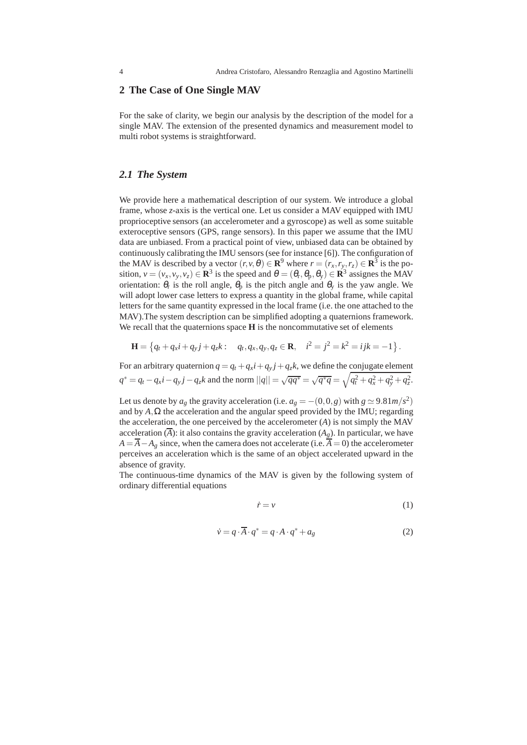### **2 The Case of One Single MAV**

For the sake of clarity, we begin our analysis by the description of the model for a single MAV. The extension of the presented dynamics and measurement model to multi robot systems is straightforward.

### *2.1 The System*

We provide here a mathematical description of our system. We introduce a global frame, whose *z*-axis is the vertical one. Let us consider a MAV equipped with IMU proprioceptive sensors (an accelerometer and a gyroscope) as well as some suitable exteroceptive sensors (GPS, range sensors). In this paper we assume that the IMU data are unbiased. From a practical point of view, unbiased data can be obtained by continuously calibrating the IMU sensors (see for instance [6]). The configuration of the MAV is described by a vector  $(r, v, \theta) \in \mathbb{R}^9$  where  $r = (r_x, r_y, r_z) \in \mathbb{R}^3$  is the position,  $v = (v_x, v_y, v_z) \in \mathbb{R}^3$  is the speed and  $\theta = (\theta_r, \theta_p, \theta_y) \in \mathbb{R}^3$  assignes the MAV orientation:  $\theta_r$  is the roll angle,  $\theta_p$  is the pitch angle and  $\theta_y$  is the yaw angle. We will adopt lower case letters to express a quantity in the global frame, while capital letters for the same quantity expressed in the local frame (i.e. the one attached to the MAV).The system description can be simplified adopting a quaternions framework. We recall that the quaternions space **H** is the noncommutative set of elements

$$
\mathbf{H} = \left\{ q_t + q_x i + q_y j + q_z k : \quad q_t, q_x, q_y, q_z \in \mathbf{R}, \quad i^2 = j^2 = k^2 = ijk = -1 \right\}.
$$

For an arbitrary quaternion  $q = q_t + q_x i + q_y j + q_z k$ , we define the conjugate element  $q^* = q_t - q_x i - q_y j - q_z k$  and the norm  $||q|| = \sqrt{qq^*} = \sqrt{q^* q} = \sqrt{q_t^2 + q_x^2 + q_y^2 + q_z^2}$ .

Let us denote by  $a_g$  the gravity acceleration (i.e.  $a_g = -(0,0,g)$  with  $g \simeq 9.81 \frac{m}{s^2}$ ) and by  $A, \Omega$  the acceleration and the angular speed provided by the IMU; regarding the acceleration, the one perceived by the accelerometer (*A*) is not simply the MAV acceleration  $(\overline{A})$ : it also contains the gravity acceleration  $(A_g)$ . In particular, we have  $A = \overline{A} - A_g$  since, when the camera does not accelerate (i.e.  $\overline{A} = 0$ ) the accelerometer perceives an acceleration which is the same of an object accelerated upward in the absence of gravity.

The continuous-time dynamics of the MAV is given by the following system of ordinary differential equations

$$
\dot{r} = v \tag{1}
$$

$$
\dot{\mathbf{v}} = q \cdot \overline{\mathbf{A}} \cdot q^* = q \cdot \mathbf{A} \cdot q^* + a_g \tag{2}
$$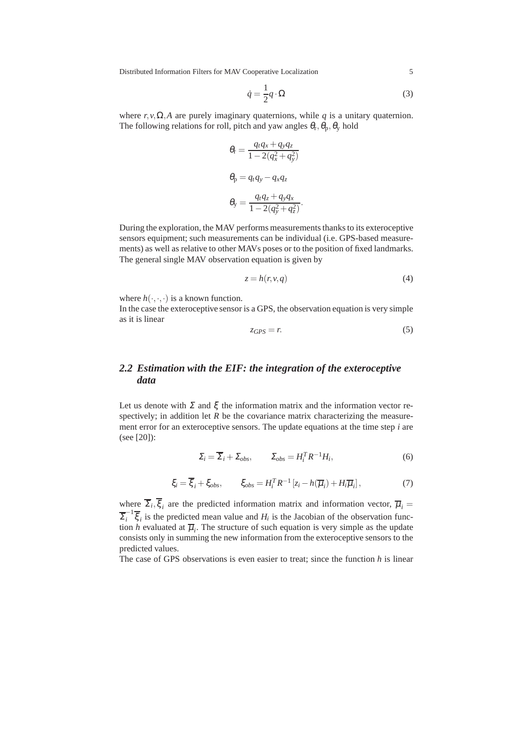$$
\dot{q} = \frac{1}{2}q \cdot \Omega \tag{3}
$$

where  $r, v, \Omega, A$  are purely imaginary quaternions, while *q* is a unitary quaternion. The following relations for roll, pitch and yaw angles  $\theta_r$ ,  $\theta_p$ ,  $\theta_y$  hold

$$
\theta_{\rm r} = \frac{q_t q_x + q_y q_z}{1 - 2(q_x^2 + q_y^2)}
$$

$$
\theta_{\rm p} = q_t q_y - q_x q_z
$$

$$
\theta_{\rm y} = \frac{q_t q_z + q_y q_x}{1 - 2(q_y^2 + q_z^2)}.
$$

During the exploration, the MAV performs measurements thanks to its exteroceptive sensors equipment; such measurements can be individual (i.e. GPS-based measurements) as well as relative to other MAVs poses or to the position of fixed landmarks. The general single MAV observation equation is given by

$$
z = h(r, v, q) \tag{4}
$$

where  $h(\cdot,\cdot,\cdot)$  is a known function.

In the case the exteroceptive sensor is a GPS, the observation equation is very simple as it is linear

$$
z_{GPS} = r.\tag{5}
$$

# *2.2 Estimation with the EIF: the integration of the exteroceptive data*

Let us denote with  $\Sigma$  and  $\xi$  the information matrix and the information vector respectively; in addition let  $R$  be the covariance matrix characterizing the measurement error for an exteroceptive sensors. The update equations at the time step *i* are (see [20]):

$$
\Sigma_i = \overline{\Sigma}_i + \Sigma_{obs}, \qquad \Sigma_{obs} = H_i^T R^{-1} H_i,\tag{6}
$$

$$
\xi_i = \overline{\xi}_i + \xi_{obs}, \qquad \xi_{obs} = H_i^T R^{-1} \left[ z_i - h(\overline{\mu}_i) + H_i \overline{\mu}_i \right], \tag{7}
$$

where  $\Sigma_i, \xi_i$  are the predicted information matrix and information vector,  $\overline{\mu}_i$  $\sum_{i}^{-1} \overline{\xi}_{i}$  is the predicted mean value and *H<sub>i</sub>* is the Jacobian of the observation function *h* evaluated at  $\overline{\mu}_i$ . The structure of such equation is very simple as the update consists only in summing the new information from the exteroceptive sensors to the predicted values.

The case of GPS observations is even easier to treat; since the function *h* is linear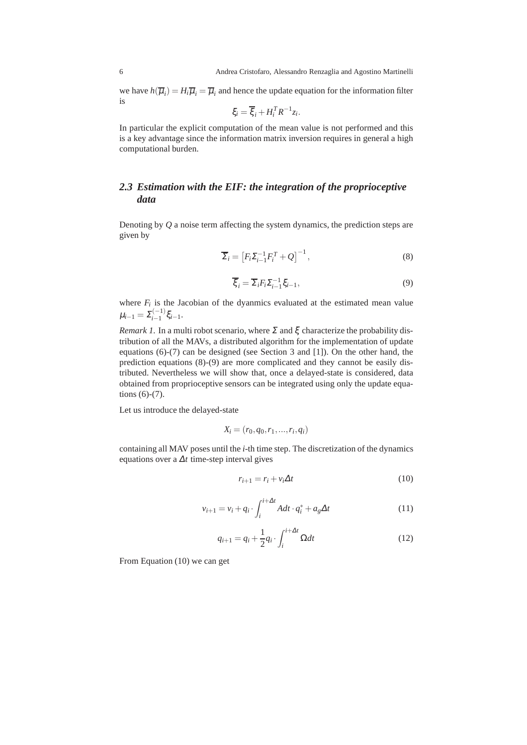we have  $h(\overline{\mu}_i) = H_i \overline{\mu}_i = \overline{\mu}_i$  and hence the update equation for the information filter is

$$
\xi_i = \overline{\xi}_i + H_i^T R^{-1} z_i.
$$

In particular the explicit computation of the mean value is not performed and this is a key advantage since the information matrix inversion requires in general a high computational burden.

# *2.3 Estimation with the EIF: the integration of the proprioceptive data*

Denoting by *Q* a noise term affecting the system dynamics, the prediction steps are given by

$$
\overline{\Sigma}_{i} = \left[ F_{i} \Sigma_{i-1}^{-1} F_{i}^{T} + Q \right]^{-1}, \tag{8}
$$

$$
\overline{\xi}_i = \overline{\Sigma}_i F_i \Sigma_{i-1}^{-1} \xi_{i-1},\tag{9}
$$

where  $F_i$  is the Jacobian of the dyanmics evaluated at the estimated mean value  $\mu_{i-1} = \Sigma_{i-1}^{(-1)}$ *i*−1 ξ*i*−1.

*Remark 1.* In a multi robot scenario, where  $\Sigma$  and  $\xi$  characterize the probability distribution of all the MAVs, a distributed algorithm for the implementation of update equations (6)-(7) can be designed (see Section 3 and [1]). On the other hand, the prediction equations (8)-(9) are more complicated and they cannot be easily distributed. Nevertheless we will show that, once a delayed-state is considered, data obtained from proprioceptive sensors can be integrated using only the update equations (6)-(7).

Let us introduce the delayed-state

$$
X_i = (r_0, q_0, r_1, \dots, r_i, q_i)
$$

containing all MAV poses until the *i*-th time step. The discretization of the dynamics equations over a <sup>∆</sup>*t* time-step interval gives

$$
r_{i+1} = r_i + v_i \Delta t \tag{10}
$$

$$
v_{i+1} = v_i + q_i \cdot \int_i^{i+\Delta t} A dt \cdot q_i^* + a_g \Delta t \tag{11}
$$

$$
q_{i+1} = q_i + \frac{1}{2}q_i \cdot \int_i^{i+\Delta t} \Omega dt \tag{12}
$$

From Equation (10) we can get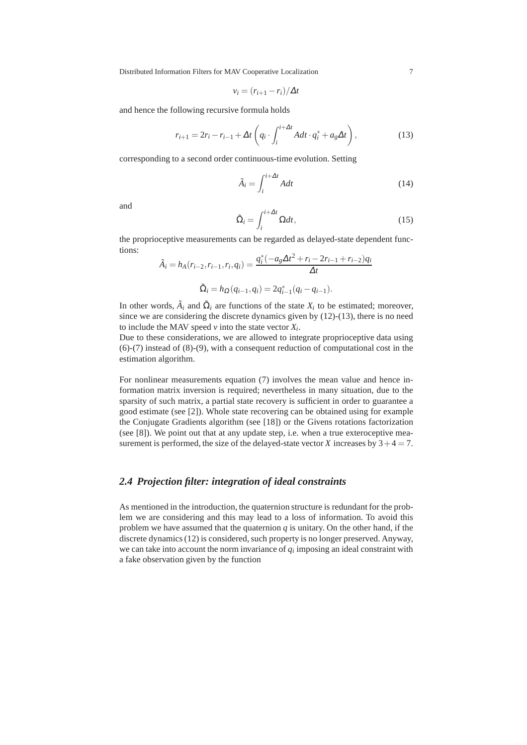$$
v_i = (r_{i+1} - r_i)/\Delta t
$$

and hence the following recursive formula holds

$$
r_{i+1} = 2r_i - r_{i-1} + \Delta t \left( q_i \cdot \int_i^{i+\Delta t} A dt \cdot q_i^* + a_g \Delta t \right),
$$
 (13)

corresponding to a second order continuous-time evolution. Setting

$$
\tilde{A}_i = \int_i^{i + \Delta t} A dt \tag{14}
$$

and

$$
\tilde{\Omega}_i = \int_i^{i + \Delta t} \Omega dt, \tag{15}
$$

the proprioceptive measurements can be regarded as delayed-state dependent functions:

$$
\tilde{A}_i = h_A(r_{i-2}, r_{i-1}, r_i, q_i) = \frac{q_i^*(-a_g\Delta t^2 + r_i - 2r_{i-1} + r_{i-2})q_i}{\Delta t}
$$

$$
\tilde{\Omega}_i = h_{\Omega}(q_{i-1}, q_i) = 2q_{i-1}^*(q_i - q_{i-1}).
$$

In other words,  $\tilde{A}_i$  and  $\tilde{\Omega}_i$  are functions of the state  $X_i$  to be estimated; moreover, since we are considering the discrete dynamics given by (12)-(13), there is no need to include the MAV speed  $v$  into the state vector  $X_i$ .

Due to these considerations, we are allowed to integrate proprioceptive data using (6)-(7) instead of (8)-(9), with a consequent reduction of computational cost in the estimation algorithm.

For nonlinear measurements equation (7) involves the mean value and hence information matrix inversion is required; nevertheless in many situation, due to the sparsity of such matrix, a partial state recovery is sufficient in order to guarantee a good estimate (see [2]). Whole state recovering can be obtained using for example the Conjugate Gradients algorithm (see [18]) or the Givens rotations factorization (see [8]). We point out that at any update step, i.e. when a true exteroceptive measurement is performed, the size of the delayed-state vector *X* increases by  $3+4=7$ .

## *2.4 Projection filter: integration of ideal constraints*

As mentioned in the introduction, the quaternion structure is redundant for the problem we are considering and this may lead to a loss of information. To avoid this problem we have assumed that the quaternion  $q$  is unitary. On the other hand, if the discrete dynamics (12) is considered, such property is no longer preserved. Anyway, we can take into account the norm invariance of  $q_i$  imposing an ideal constraint with a fake observation given by the function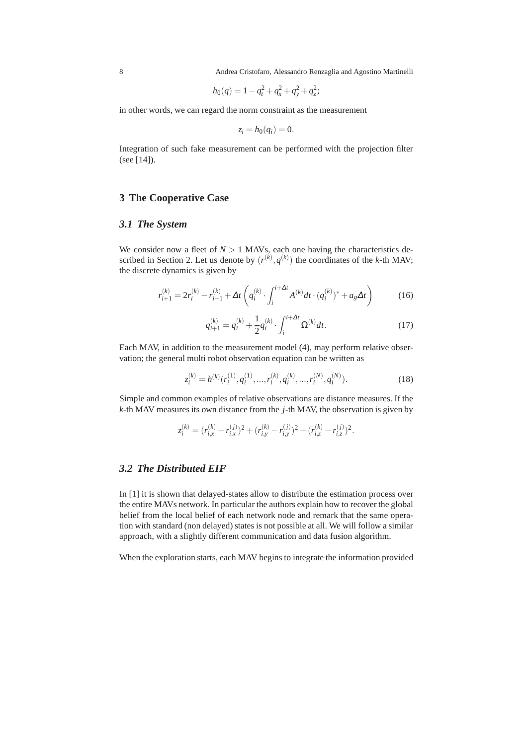8 Andrea Cristofaro, Alessandro Renzaglia and Agostino Martinelli

$$
h_0(q) = 1 - q_t^2 + q_x^2 + q_y^2 + q_z^2;
$$

in other words, we can regard the norm constraint as the measurement

$$
z_i = h_0(q_i) = 0.
$$

Integration of such fake measurement can be performed with the projection filter (see [14]).

## **3 The Cooperative Case**

#### *3.1 The System*

We consider now a fleet of  $N > 1$  MAVs, each one having the characteristics described in Section 2. Let us denote by  $(r^{(k)}, q^{(k)})$  the coordinates of the *k*-th MAV; the discrete dynamics is given by

$$
r_{i+1}^{(k)} = 2r_i^{(k)} - r_{i-1}^{(k)} + \Delta t \left( q_i^{(k)} \cdot \int_i^{i+\Delta t} A^{(k)} dt \cdot (q_i^{(k)})^* + a_g \Delta t \right) \tag{16}
$$

$$
q_{i+1}^{(k)} = q_i^{(k)} + \frac{1}{2}q_i^{(k)} \cdot \int_i^{i+\Delta t} \Omega^{(k)} dt.
$$
 (17)

Each MAV, in addition to the measurement model (4), may perform relative observation; the general multi robot observation equation can be written as

$$
z_i^{(k)} = h^{(k)}(r_i^{(1)}, q_i^{(1)}, \dots, r_i^{(k)}, q_i^{(k)}, \dots, r_i^{(N)}, q_i^{(N)}).
$$
\n(18)

Simple and common examples of relative observations are distance measures. If the *k*-th MAV measures its own distance from the *j*-th MAV, the observation is given by

$$
z_i^{(k)} = (r_{i,x}^{(k)} - r_{i,x}^{(j)})^2 + (r_{i,y}^{(k)} - r_{i,y}^{(j)})^2 + (r_{i,z}^{(k)} - r_{i,z}^{(j)})^2.
$$

### *3.2 The Distributed EIF*

In [1] it is shown that delayed-states allow to distribute the estimation process over the entire MAVs network. In particular the authors explain how to recover the global belief from the local belief of each network node and remark that the same operation with standard (non delayed) states is not possible at all. We will follow a similar approach, with a slightly different communication and data fusion algorithm.

When the exploration starts, each MAV begins to integrate the information provided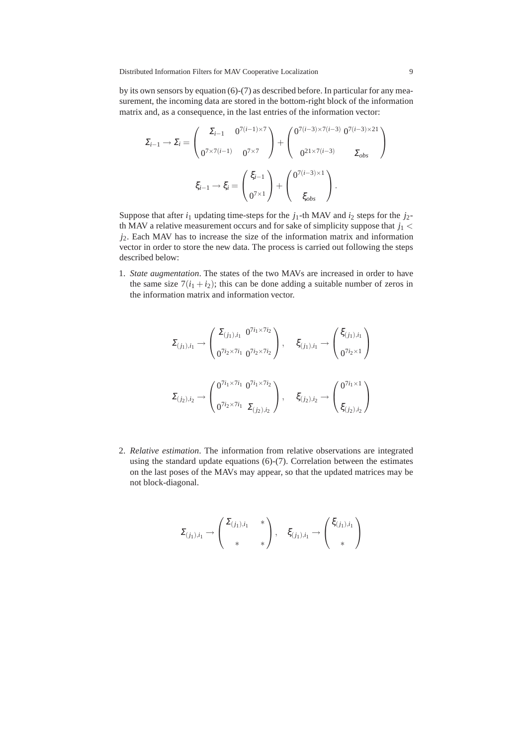by its own sensors by equation (6)-(7) as described before. In particular for any measurement, the incoming data are stored in the bottom-right block of the information matrix and, as a consequence, in the last entries of the information vector:

$$
\Sigma_{i-1} \to \Sigma_i = \begin{pmatrix} \Sigma_{i-1} & 0^{7(i-1)\times 7} \\ 0^{7\times 7(i-1)} & 0^{7\times 7} \end{pmatrix} + \begin{pmatrix} 0^{7(i-3)\times 7(i-3)} & 0^{7(i-3)\times 21} \\ 0^{21\times 7(i-3)} & \Sigma_{obs} \end{pmatrix}
$$

$$
\xi_{i-1} \to \xi_i = \begin{pmatrix} \xi_{i-1} \\ 0^{7\times 1} \end{pmatrix} + \begin{pmatrix} 0^{7(i-3)\times 1} \\ \xi_{obs} \end{pmatrix}.
$$

Suppose that after  $i_1$  updating time-steps for the  $j_1$ -th MAV and  $i_2$  steps for the  $j_2$ th MAV a relative measurement occurs and for sake of simplicity suppose that  $j_1$  < *j*2. Each MAV has to increase the size of the information matrix and information vector in order to store the new data. The process is carried out following the steps described below:

1. *State augmentation*. The states of the two MAVs are increased in order to have the same size  $7(i_1 + i_2)$ ; this can be done adding a suitable number of zeros in the information matrix and information vector.

$$
\Sigma_{(j_1),i_1} \to \begin{pmatrix} \Sigma_{(j_1),i_1} & 0^{7i_1 \times 7i_2} \\ 0^{7i_2 \times 7i_1} & 0^{7i_2 \times 7i_2} \end{pmatrix}, \quad \xi_{(j_1),i_1} \to \begin{pmatrix} \xi_{(j_1),i_1} \\ 0^{7i_2 \times 1} \end{pmatrix}
$$

$$
\Sigma_{(j_2),i_2} \to \begin{pmatrix} 0^{7i_1 \times 7i_1} & 0^{7i_1 \times 7i_2} \\ 0^{7i_2 \times 7i_1} & \Sigma_{(j_2),i_2} \end{pmatrix}, \quad \xi_{(j_2),i_2} \to \begin{pmatrix} 0^{7i_1 \times 1} \\ \xi_{(j_2),i_2} \end{pmatrix}
$$

2. *Relative estimation*. The information from relative observations are integrated using the standard update equations (6)-(7). Correlation between the estimates on the last poses of the MAVs may appear, so that the updated matrices may be not block-diagonal.

$$
\Sigma_{(j_1),i_1} \to \begin{pmatrix} \Sigma_{(j_1),i_1} & * \\ * & * \end{pmatrix}, \quad \xi_{(j_1),i_1} \to \begin{pmatrix} \xi_{(j_1),i_1} \\ * & \end{pmatrix}
$$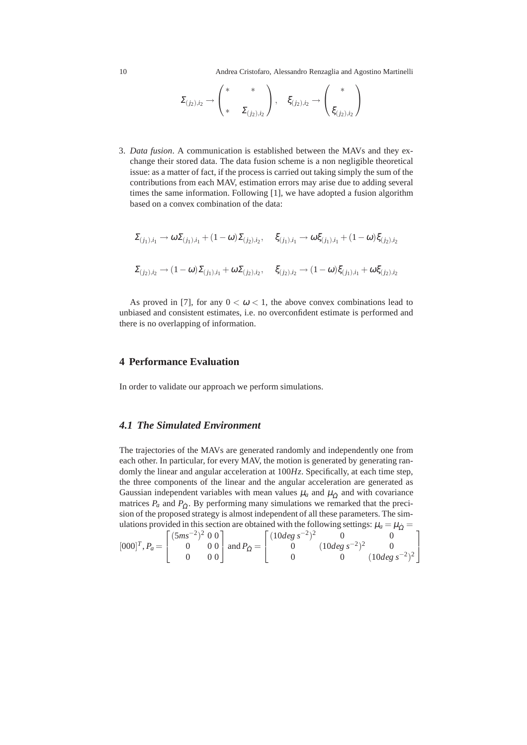10 Andrea Cristofaro, Alessandro Renzaglia and Agostino Martinelli

$$
\Sigma_{(j_2),i_2} \longrightarrow \begin{pmatrix} * & * \\ * & \Sigma_{(j_2),i_2} \end{pmatrix}, \quad \xi_{(j_2),i_2} \longrightarrow \begin{pmatrix} * \\ \xi_{(j_2),i_2} \end{pmatrix}
$$

3. *Data fusion*. A communication is established between the MAVs and they exchange their stored data. The data fusion scheme is a non negligible theoretical issue: as a matter of fact, if the process is carried out taking simply the sum of the contributions from each MAV, estimation errors may arise due to adding several times the same information. Following [1], we have adopted a fusion algorithm based on a convex combination of the data:

$$
\begin{array}{ll}\Sigma_{(j_1),i_1} \to \omega \Sigma_{(j_1),i_1} + (1 - \omega) \Sigma_{(j_2),i_2}, & \xi_{(j_1),i_1} \to \omega \xi_{(j_1),i_1} + (1 - \omega) \xi_{(j_2),i_2} \\
& \\ \Sigma_{(j_2),i_2} \to (1 - \omega) \Sigma_{(j_1),i_1} + \omega \Sigma_{(j_2),i_2}, & \xi_{(j_2),i_2} \to (1 - \omega) \xi_{(j_1),i_1} + \omega \xi_{(j_2),i_2}\n\end{array}
$$

As proved in [7], for any  $0 < \omega < 1$ , the above convex combinations lead to unbiased and consistent estimates, i.e. no overconfident estimate is performed and there is no overlapping of information.

#### **4 Performance Evaluation**

In order to validate our approach we perform simulations.

## *4.1 The Simulated Environment*

The trajectories of the MAVs are generated randomly and independently one from each other. In particular, for every MAV, the motion is generated by generating randomly the linear and angular acceleration at 100*Hz*. Specifically, at each time step, the three components of the linear and the angular acceleration are generated as Gaussian independent variables with mean values  $\mu_a$  and  $\mu_{\dot{\Omega}}$  and with covariance matrices  $P_a$  and  $P_0$ . By performing many simulations we remarked that the precision of the proposed strategy is almost independent of all these parameters. The simulations provided in this section are obtained with the following settings:  $\mu_a = \mu_{\Omega} =$ 

$$
[000]^T, P_a = \begin{bmatrix} (5ms^{-2})^2 & 0 & 0 \\ 0 & 0 & 0 \\ 0 & 0 & 0 \end{bmatrix} \text{ and } P_{\Omega} = \begin{bmatrix} (10deg \ s^{-2})^2 & 0 & 0 \\ 0 & (10deg \ s^{-2})^2 & 0 \\ 0 & 0 & (10deg \ s^{-2})^2 \end{bmatrix}
$$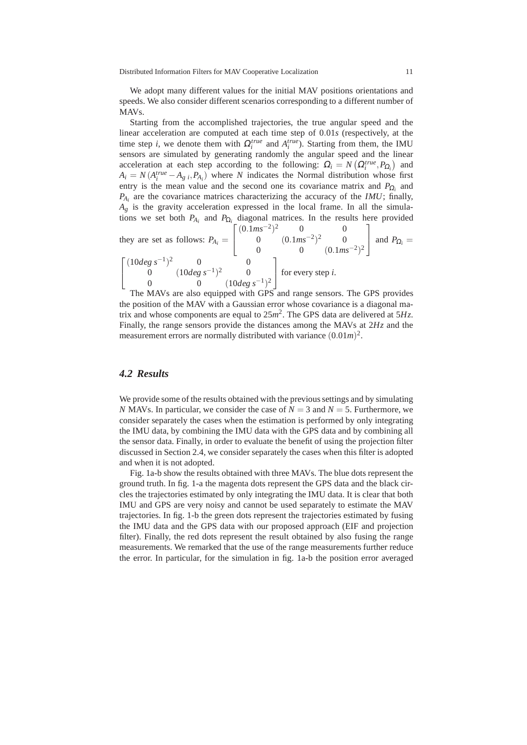We adopt many different values for the initial MAV positions orientations and speeds. We also consider different scenarios corresponding to a different number of MAVs.

Starting from the accomplished trajectories, the true angular speed and the linear acceleration are computed at each time step of 0.01*s* (respectively, at the time step *i*, we denote them with  $\Omega_i^{true}$  and  $A_i^{true}$ ). Starting from them, the IMU sensors are simulated by generating randomly the angular speed and the linear acceleration at each step according to the following:  $\Omega_i = N(\Omega_i^{true}, P_{\Omega_i})$  and  $A_i = N(A_i^{true} - A_g_i, P_{A_i})$  where *N* indicates the Normal distribution whose first entry is the mean value and the second one its covariance matrix and  $P_{\Omega_i}$  and *PAi* are the covariance matrices characterizing the accuracy of the *IMU*; finally,  $A_g$  is the gravity acceleration expressed in the local frame. In all the simulations we set both  $P_{A_i}$  and  $P_{\Omega_i}$  diagonal matrices. In the results here provided

they are set as follows:  $P_{A_i} =$  $\sqrt{ }$  $\overline{\phantom{a}}$  $(0.1ms^{-2})^2$  0 0 0  $(0.1 \text{m s}^{-2})^2$  0 0 0 (0.1*ms*<sup>-2</sup>)<sup>2</sup> 1 | and  $P_{\Omega_i}$  =  $\sqrt{ }$  $\overline{1}$  $(10deg s^{-1})^2$  0 0 0 (10*deg s*−<sup>1</sup> ) <sup>2</sup> 0 0 0 (10*deg s*−<sup>1</sup> ) 2 1 for every step *<sup>i</sup>*.

The MAVs are also equipped with GPS and range sensors. The GPS provides the position of the MAV with a Gaussian error whose covariance is a diagonal matrix and whose components are equal to 25*m* 2 . The GPS data are delivered at 5*Hz*. Finally, the range sensors provide the distances among the MAVs at 2*Hz* and the measurement errors are normally distributed with variance  $(0.01m)^2$ .

#### *4.2 Results*

We provide some of the results obtained with the previous settings and by simulating *N* MAVs. In particular, we consider the case of  $N = 3$  and  $N = 5$ . Furthermore, we consider separately the cases when the estimation is performed by only integrating the IMU data, by combining the IMU data with the GPS data and by combining all the sensor data. Finally, in order to evaluate the benefit of using the projection filter discussed in Section 2.4, we consider separately the cases when this filter is adopted and when it is not adopted.

Fig. 1a-b show the results obtained with three MAVs. The blue dots represent the ground truth. In fig. 1-a the magenta dots represent the GPS data and the black circles the trajectories estimated by only integrating the IMU data. It is clear that both IMU and GPS are very noisy and cannot be used separately to estimate the MAV trajectories. In fig. 1-b the green dots represent the trajectories estimated by fusing the IMU data and the GPS data with our proposed approach (EIF and projection filter). Finally, the red dots represent the result obtained by also fusing the range measurements. We remarked that the use of the range measurements further reduce the error. In particular, for the simulation in fig. 1a-b the position error averaged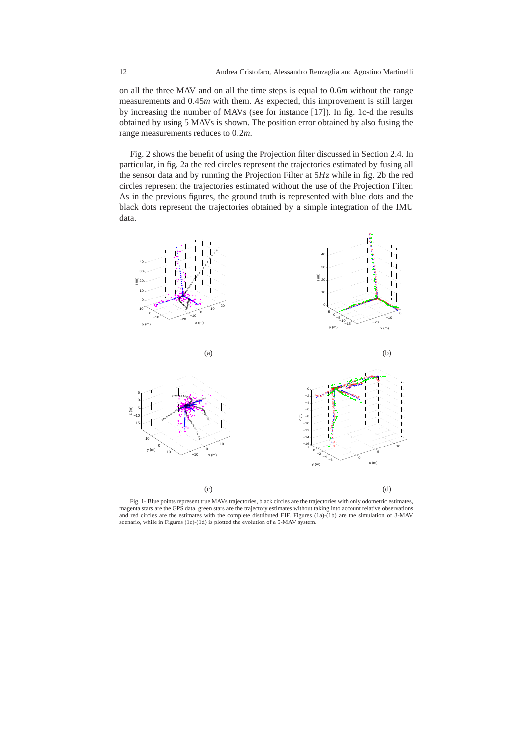on all the three MAV and on all the time steps is equal to 0.6*m* without the range measurements and 0.45*m* with them. As expected, this improvement is still larger by increasing the number of MAVs (see for instance [17]). In fig. 1c-d the results obtained by using 5 MAVs is shown. The position error obtained by also fusing the range measurements reduces to 0.2*m*.

Fig. 2 shows the benefit of using the Projection filter discussed in Section 2.4. In particular, in fig. 2a the red circles represent the trajectories estimated by fusing all the sensor data and by running the Projection Filter at 5*Hz* while in fig. 2b the red circles represent the trajectories estimated without the use of the Projection Filter. As in the previous figures, the ground truth is represented with blue dots and the black dots represent the trajectories obtained by a simple integration of the IMU data.



Fig. 1- Blue points represent true MAVs trajectories, black circles are the trajectories with only odometric estimates, magenta stars are the GPS data, green stars are the trajectory estimates without taking into account relative observations and red circles are the estimates with the complete distributed EIF. Figures (1a)-(1b) are the simulation of 3-MAV scenario, while in Figures (1c)-(1d) is plotted the evolution of a 5-MAV system.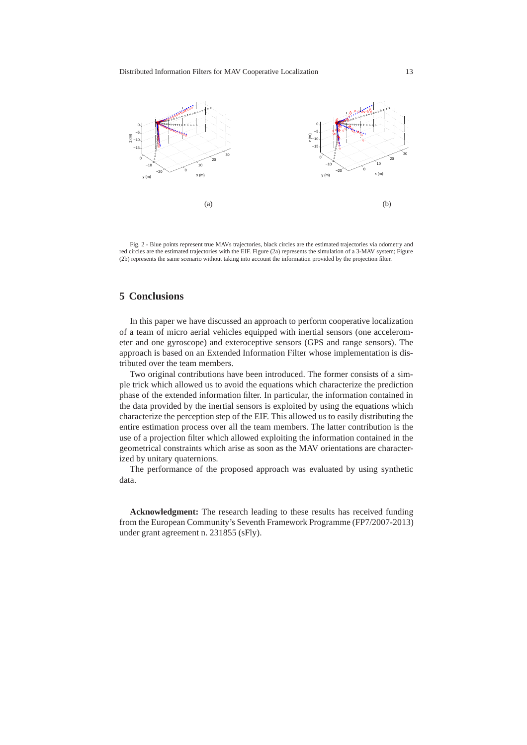

Fig. 2 - Blue points represent true MAVs trajectories, black circles are the estimated trajectories via odometry and red circles are the estimated trajectories with the EIF. Figure (2a) represents the simulation of a 3-MAV system; Figure (2b) represents the same scenario without taking into account the information provided by the projection filter.

# **5 Conclusions**

In this paper we have discussed an approach to perform cooperative localization of a team of micro aerial vehicles equipped with inertial sensors (one accelerometer and one gyroscope) and exteroceptive sensors (GPS and range sensors). The approach is based on an Extended Information Filter whose implementation is distributed over the team members.

Two original contributions have been introduced. The former consists of a simple trick which allowed us to avoid the equations which characterize the prediction phase of the extended information filter. In particular, the information contained in the data provided by the inertial sensors is exploited by using the equations which characterize the perception step of the EIF. This allowed us to easily distributing the entire estimation process over all the team members. The latter contribution is the use of a projection filter which allowed exploiting the information contained in the geometrical constraints which arise as soon as the MAV orientations are characterized by unitary quaternions.

The performance of the proposed approach was evaluated by using synthetic data.

**Acknowledgment:** The research leading to these results has received funding from the European Community's Seventh Framework Programme (FP7/2007-2013) under grant agreement n. 231855 (sFly).